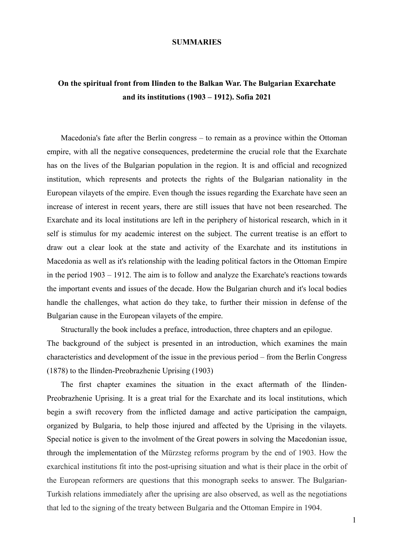#### **SUMMARIES**

## **On the spiritual front from Ilinden to the Balkan War. The Bulgarian Exarchate and its institutions (1903 – 1912). Sofia 2021**

Macedonia's fate after the Berlin congress – to remain as a province within the Ottoman empire, with all the negative consequences, predetermine the crucial role that the Exarchate has on the lives of the Bulgarian population in the region. It is and official and recognized institution, which represents and protects the rights of the Bulgarian nationality in the European vilayets of the empire. Even though the issues regarding the Exarchate have seen an increase of interest in recent years, there are still issues that have not been researched. The Exarchate and its local institutions are left in the periphery of historical research, which in it self is stimulus for my academic interest on the subject. The current treatise is an effort to draw out a clear look at the state and activity of the Exarchate and its institutions in Macedonia as well as it's relationship with the leading political factors in the Ottoman Empire in the period 1903 – 1912. The aim is to follow and analyze the Exarchate's reactions towards the important events and issues of the decade. How the Bulgarian church and it's local bodies handle the challenges, what action do they take, to further their mission in defense of the Bulgarian cause in the European vilayets of the empire.

Structurally the book includes a preface, introduction, three chapters and an epilogue. The background of the subject is presented in an introduction, which examines the main characteristics and development of the issue in the previous period – from the Berlin Congress (1878) to the Ilinden-Preobrazhenie Uprising (1903)

The first chapter examines the situation in the exact aftermath of the Ilinden-Preobrazhenie Uprising. It is a great trial for the Exarchate and its local institutions, which begin a swift recovery from the inflicted damage and active participation the campaign, organized by Bulgaria, to help those injured and affected by the Uprising in the vilayets. Special notice is given to the involment of the Great powers in solving the Macedonian issue, through the implementation of the Mürzsteg reforms program by the end of 1903. How the exarchical institutions fit into the post-uprising situation and what is their place in the orbit of the European reformers are questions that this monograph seeks to answer. The Bulgarian-Turkish relations immediately after the uprising are also observed, as well as the negotiations that led to the signing of the treaty between Bulgaria and the Ottoman Empire in 1904.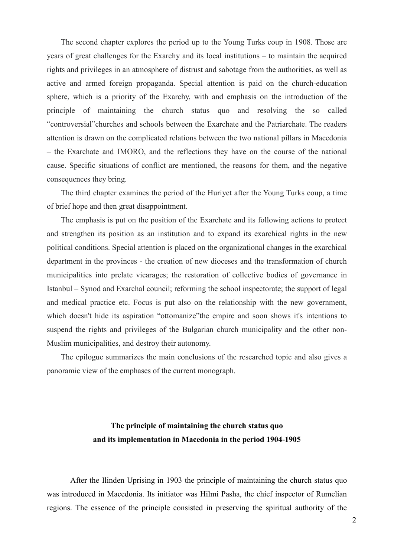The second chapter explores the period up to the Young Turks coup in 1908. Those are years of great challenges for the Exarchy and its local institutions – to maintain the acquired rights and privileges in an atmosphere of distrust and sabotage from the authorities, as well as active and armed foreign propaganda. Special attention is paid on the church-education sphere, which is a priority of the Exarchy, with and emphasis on the introduction of the principle of maintaining the church status quo and resolving the so called "controversial"churches and schools between the Exarchate and the Patriarchate. The readers attention is drawn on the complicated relations between the two national pillars in Macedonia – the Exarchate and IMORO, and the reflections they have on the course of the national cause. Specific situations of conflict are mentioned, the reasons for them, and the negative consequences they bring.

The third chapter examines the period of the Huriyet after the Young Turks coup, a time of brief hope and then great disappointment.

The emphasis is put on the position of the Exarchate and its following actions to protect and strengthen its position as an institution and to expand its exarchical rights in the new political conditions. Special attention is placed on the organizational changes in the exarchical department in the provinces - the creation of new dioceses and the transformation of church municipalities into prelate vicarages; the restoration of collective bodies of governance in Istanbul – Synod and Exarchal council; reforming the school inspectorate; the support of legal and medical practice etc. Focus is put also on the relationship with the new government, which doesn't hide its aspiration "ottomanize"the empire and soon shows it's intentions to suspend the rights and privileges of the Bulgarian church municipality and the other non-Muslim municipalities, and destroy their autonomy.

The epilogue summarizes the main conclusions of the researched topic and also gives a panoramic view of the emphases of the current monograph.

## **The principle of maintaining the church status quo and its implementation in Macedonia in the period 1904-1905**

After the Ilinden Uprising in 1903 the principle of maintaining the church status quo was introduced in Macedonia. Its initiator was Hilmi Pasha, the chief inspector of Rumelian regions. The essence of the principle consisted in preserving the spiritual authority of the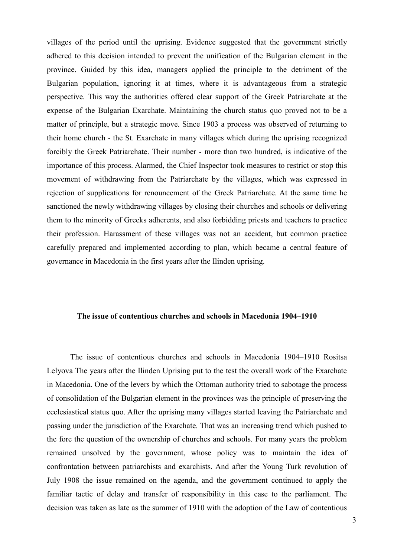villages of the period until the uprising. Evidence suggested that the government strictly adhered to this decision intended to prevent the unification of the Bulgarian element in the province. Guided by this idea, managers applied the principle to the detriment of the Bulgarian population, ignoring it at times, where it is advantageous from a strategic perspective. This way the authorities offered clear support of the Greek Patriarchate at the expense of the Bulgarian Exarchate. Maintaining the church status quo proved not to be a matter of principle, but a strategic move. Since 1903 a process was observed of returning to their home church - the St. Exarchate in many villages which during the uprising recognized forcibly the Greek Patriarchate. Their number - more than two hundred, is indicative of the importance of this process. Alarmed, the Chief Inspector took measures to restrict or stop this movement of withdrawing from the Patriarchate by the villages, which was expressed in rejection of supplications for renouncement of the Greek Patriarchate. At the same time he sanctioned the newly withdrawing villages by closing their churches and schools or delivering them to the minority of Greeks adherents, and also forbidding priests and teachers to practice their profession. Harassment of these villages was not an accident, but common practice carefully prepared and implemented according to plan, which became a central feature of governance in Macedonia in the first years after the Ilinden uprising.

#### **The issue of contentious churches and schools in Macedonia 1904–1910**

The issue of contentious churches and schools in Macedonia 1904–1910 Rositsa Lelyova The years after the Ilinden Uprising put to the test the overall work of the Exarchate in Macedonia. One of the levers by which the Ottoman authority tried to sabotage the process of consolidation of the Bulgarian element in the provinces was the principle of preserving the ecclesiastical status quo. After the uprising many villages started leaving the Patriarchate and passing under the jurisdiction of the Exarchate. That was an increasing trend which pushed to the fore the question of the ownership of churches and schools. For many years the problem remained unsolved by the government, whose policy was to maintain the idea of confrontation between patriarchists and exarchists. And after the Young Turk revolution of July 1908 the issue remained on the agenda, and the government continued to apply the familiar tactic of delay and transfer of responsibility in this case to the parliament. The decision was taken as late as the summer of 1910 with the adoption of the Law of contentious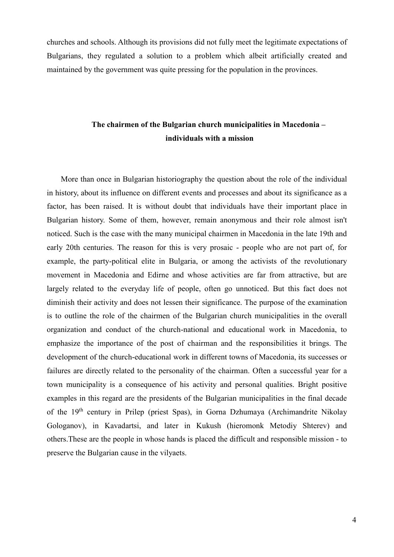churches and schools. Although its provisions did not fully meet the legitimate expectations of Bulgarians, they regulated a solution to a problem which albeit artificially created and maintained by the government was quite pressing for the population in the provinces.

## **The chairmen of the Bulgarian church municipalities in Macedonia – individuals with a mission**

More than once in Bulgarian historiography the question about the role of the individual in history, about its influence on different events and processes and about its significance as a factor, has been raised. It is without doubt that individuals have their important place in Bulgarian history. Some of them, however, remain anonymous and their role almost isn't noticed. Such is the case with the many municipal chairmen in Macedonia in the late 19th and early 20th centuries. The reason for this is very prosaic - people who are not part of, for example, the party-political elite in Bulgaria, or among the activists of the revolutionary movement in Macedonia and Edirne and whose activities are far from attractive, but are largely related to the everyday life of people, often go unnoticed. But this fact does not diminish their activity and does not lessen their significance. The purpose of the examination is to outline the role of the chairmen of the Bulgarian church municipalities in the overall organization and conduct of the church-national and educational work in Macedonia, to emphasize the importance of the post of chairman and the responsibilities it brings. The development of the church-educational work in different towns of Macedonia, its successes or failures are directly related to the personality of the chairman. Often a successful year for a town municipality is a consequence of his activity and personal qualities. Bright positive examples in this regard are the presidents of the Bulgarian municipalities in the final decade of the 19th century in Prilep (priest Spas), in Gorna Dzhumaya (Archimandrite Nikolay Gologanov), in Kavadartsi, and later in Kukush (hieromonk Metodiy Shterev) and others.These are the people in whose hands is placed the difficult and responsible mission - to preserve the Bulgarian cause in the vilyaets.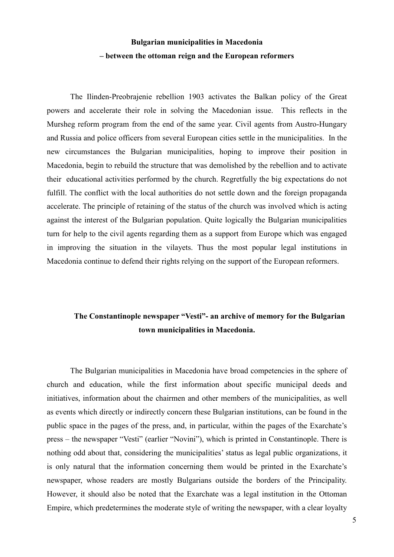# **Bulgarian municipalities in Macedonia – between the ottoman reign and the European reformers**

The Ilinden-Preobrajenie rebellion 1903 activates the Balkan policy of the Great powers and accelerate their role in solving the Macedonian issue. This reflects in the Mursheg reform program from the end of the same year. Civil agents from Austro-Hungary and Russia and police officers from several European cities settle in the municipalities. In the new circumstances the Bulgarian municipalities, hoping to improve their position in Macedonia, begin to rebuild the structure that was demolished by the rebellion and to activate their educational activities performed by the church. Regretfully the big expectations do not fulfill. The conflict with the local authorities do not settle down and the foreign propaganda accelerate. The principle of retaining of the status of the church was involved which is acting against the interest of the Bulgarian population. Quite logically the Bulgarian municipalities turn for help to the civil agents regarding them as a support from Europe which was engaged in improving the situation in the vilayets. Thus the most popular legal institutions in Macedonia continue to defend their rights relying on the support of the European reformers.

#### **The Constantinople newspaper "Vesti"- an archive of memory for the Bulgarian town municipalities in Macedonia.**

The Bulgarian municipalities in Macedonia have broad competencies in the sphere of church and education, while the first information about specific municipal deeds and initiatives, information about the chairmen and other members of the municipalities, as well as events which directly or indirectly concern these Bulgarian institutions, can be found in the public space in the pages of the press, and, in particular, within the pages of the Exarchate's press – the newspaper "Vesti" (earlier "Novini"), which is printed in Constantinople. There is nothing odd about that, considering the municipalities' status as legal public organizations, it is only natural that the information concerning them would be printed in the Exarchate's newspaper, whose readers are mostly Bulgarians outside the borders of the Principality. However, it should also be noted that the Exarchate was a legal institution in the Ottoman Empire, which predetermines the moderate style of writing the newspaper, with a clear loyalty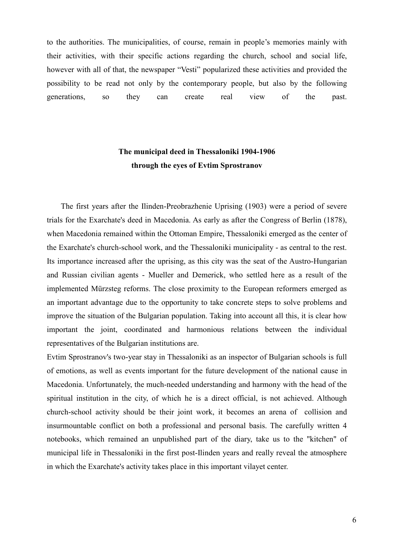to the authorities. The municipalities, of course, remain in people's memories mainly with their activities, with their specific actions regarding the church, school and social life, however with all of that, the newspaper "Vesti" popularized these activities and provided the possibility to be read not only by the contemporary people, but also by the following generations, so they can create real view of the past.

## **The municipal deed in Thessaloniki 1904-1906 through the eyes of Evtim Sprostranov**

The first years after the Ilinden-Preobrazhenie Uprising (1903) were a period of severe trials for the Exarchate's deed in Macedonia. As early as after the Congress of Berlin (1878), when Macedonia remained within the Ottoman Empire, Thessaloniki emerged as the center of the Exarchate's church-school work, and the Thessaloniki municipality - as central to the rest. Its importance increased after the uprising, as this city was the seat of the Austro-Hungarian and Russian civilian agents - Mueller and Demerick, who settled here as a result of the implemented Mürzsteg reforms. The close proximity to the European reformers emerged as an important advantage due to the opportunity to take concrete steps to solve problems and improve the situation of the Bulgarian population. Taking into account all this, it is clear how important the joint, coordinated and harmonious relations between the individual representatives of the Bulgarian institutions are.

Evtim Sprostranov's two-year stay in Thessaloniki as an inspector of Bulgarian schools is full of emotions, as well as events important for the future development of the national cause in Macedonia. Unfortunately, the much-needed understanding and harmony with the head of the spiritual institution in the city, of which he is a direct official, is not achieved. Although church-school activity should be their joint work, it becomes an arena of collision and insurmountable conflict on both a professional and personal basis. The carefully written 4 notebooks, which remained an unpublished part of the diary, take us to the "kitchen" of municipal life in Thessaloniki in the first post-Ilinden years and really reveal the atmosphere in which the Exarchate's activity takes place in this important vilayet center.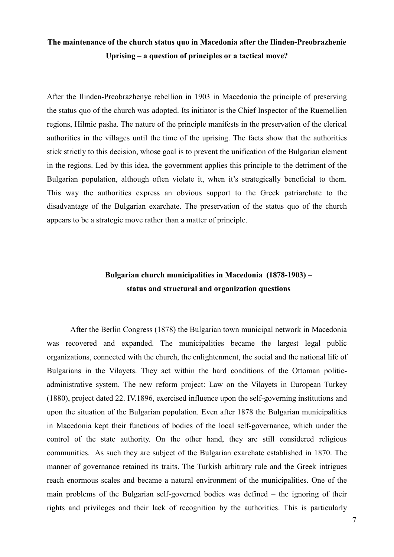## **The maintenance of the church status quo in Macedonia after the Ilinden-Preobrazhenie Uprising – a question of principles or a tactical move?**

After the Ilinden-Preobrazhenye rebellion in 1903 in Macedonia the principle of preserving the status quo of the church was adopted. Its initiator is the Chief Inspector of the Ruemellien regions, Hilmie pasha. The nature of the principle manifests in the preservation of the clerical authorities in the villages until the time of the uprising. The facts show that the authorities stick strictly to this decision, whose goal is to prevent the unification of the Bulgarian element in the regions. Led by this idea, the government applies this principle to the detriment of the Bulgarian population, although often violate it, when it's strategically beneficial to them. This way the authorities express an obvious support to the Greek patriarchate to the disadvantage of the Bulgarian exarchate. The preservation of the status quo of the church appears to be a strategic move rather than a matter of principle.

## **Bulgarian church municipalities in Macedonia (1878-1903) – status and structural and organization questions**

After the Berlin Congress (1878) the Bulgarian town municipal network in Macedonia was recovered and expanded. The municipalities became the largest legal public organizations, connected with the church, the enlightenment, the social and the national life of Bulgarians in the Vilayets. They act within the hard conditions of the Ottoman politicadministrative system. The new reform project: Law on the Vilayets in European Turkey (1880), project dated 22. IV.1896, exercised influence upon the self-governing institutions and upon the situation of the Bulgarian population. Even after 1878 the Bulgarian municipalities in Macedonia kept their functions of bodies of the local self-governance, which under the control of the state authority. On the other hand, they are still considered religious communities. As such they are subject of the Bulgarian exarchate established in 1870. The manner of governance retained its traits. The Turkish arbitrary rule and the Greek intrigues reach enormous scales and became a natural environment of the municipalities. One of the main problems of the Bulgarian self-governed bodies was defined – the ignoring of their rights and privileges and their lack of recognition by the authorities. This is particularly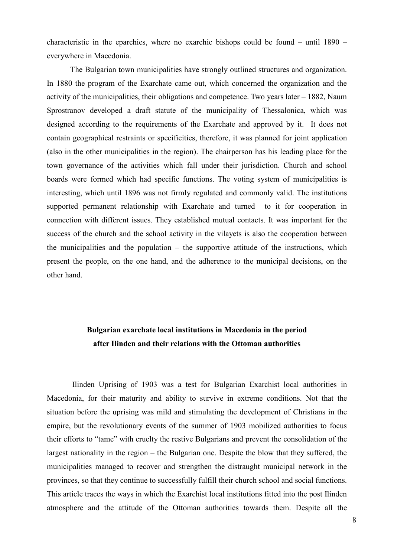characteristic in the eparchies, where no exarchic bishops could be found – until 1890 – everywhere in Macedonia.

The Bulgarian town municipalities have strongly outlined structures and organization. In 1880 the program of the Exarchate came out, which concerned the organization and the activity of the municipalities, their obligations and competence. Two years later – 1882, Naum Sprostranov developed a draft statute of the municipality of Thessalonica, which was designed according to the requirements of the Exarchate and approved by it. It does not contain geographical restraints or specificities, therefore, it was planned for joint application (also in the other municipalities in the region). The chairperson has his leading place for the town governance of the activities which fall under their jurisdiction. Church and school boards were formed which had specific functions. The voting system of municipalities is interesting, which until 1896 was not firmly regulated and commonly valid. The institutions supported permanent relationship with Exarchate and turned to it for cooperation in connection with different issues. They established mutual contacts. It was important for the success of the church and the school activity in the vilayets is also the cooperation between the municipalities and the population – the supportive attitude of the instructions, which present the people, on the one hand, and the adherence to the municipal decisions, on the other hand.

## **Bulgarian exarchate local institutions in Macedonia in the period after Ilinden and their relations with the Ottoman authorities**

Ilinden Uprising of 1903 was a test for Bulgarian Exarchist local authorities in Macedonia, for their maturity and ability to survive in extreme conditions. Not that the situation before the uprising was mild and stimulating the development of Christians in the empire, but the revolutionary events of the summer of 1903 mobilized authorities to focus their efforts to "tame" with cruelty the restive Bulgarians and prevent the consolidation of the largest nationality in the region – the Bulgarian one. Despite the blow that they suffered, the municipalities managed to recover and strengthen the distraught municipal network in the provinces, so that they continue to successfully fulfill their church school and social functions. This article traces the ways in which the Exarchist local institutions fitted into the post Ilinden atmosphere and the attitude of the Ottoman authorities towards them. Despite all the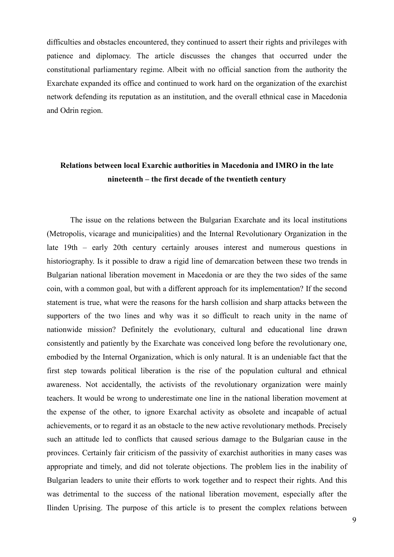difficulties and obstacles encountered, they continued to assert their rights and privileges with patience and diplomacy. The article discusses the changes that occurred under the constitutional parliamentary regime. Albeit with no official sanction from the authority the Exarchate expanded its office and continued to work hard on the organization of the exarchist network defending its reputation as an institution, and the overall ethnical case in Macedonia and Odrin region.

## **Relations between local Exarchic authorities in Macedonia and IMRO in the late nineteenth – the first decade of the twentieth century**

The issue on the relations between the Bulgarian Exarchate and its local institutions (Metropolis, vicarage and municipalities) and the Internal Revolutionary Organization in the late 19th – early 20th century certainly arouses interest and numerous questions in historiography. Is it possible to draw a rigid line of demarcation between these two trends in Bulgarian national liberation movement in Macedonia or are they the two sides of the same coin, with a common goal, but with a different approach for its implementation? If the second statement is true, what were the reasons for the harsh collision and sharp attacks between the supporters of the two lines and why was it so difficult to reach unity in the name of nationwide mission? Definitely the evolutionary, cultural and educational line drawn consistently and patiently by the Exarchate was conceived long before the revolutionary one, embodied by the Internal Organization, which is only natural. It is an undeniable fact that the first step towards political liberation is the rise of the population cultural and ethnical awareness. Not accidentally, the activists of the revolutionary organization were mainly teachers. It would be wrong to underestimate one line in the national liberation movement at the expense of the other, to ignore Exarchal activity as obsolete and incapable of actual achievements, or to regard it as an obstacle to the new active revolutionary methods. Precisely such an attitude led to conflicts that caused serious damage to the Bulgarian cause in the provinces. Certainly fair criticism of the passivity of exarchist authorities in many cases was appropriate and timely, and did not tolerate objections. The problem lies in the inability of Bulgarian leaders to unite their efforts to work together and to respect their rights. And this was detrimental to the success of the national liberation movement, especially after the Ilinden Uprising. The purpose of this article is to present the complex relations between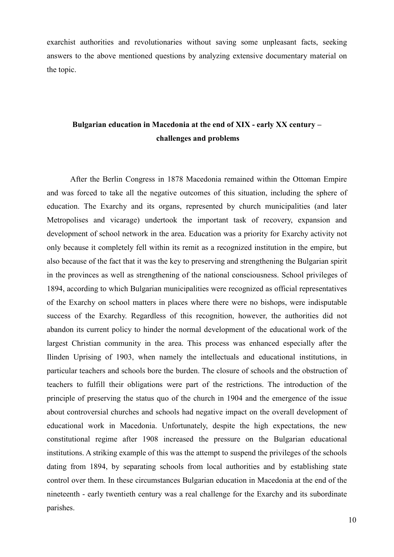exarchist authorities and revolutionaries without saving some unpleasant facts, seeking answers to the above mentioned questions by analyzing extensive documentary material on the topic.

## **Bulgarian education in Macedonia at the end of XIX - early XX century – challenges and problems**

After the Berlin Congress in 1878 Macedonia remained within the Ottoman Empire and was forced to take all the negative outcomes of this situation, including the sphere of education. The Exarchy and its organs, represented by church municipalities (and later Metropolises and vicarage) undertook the important task of recovery, expansion and development of school network in the area. Education was a priority for Exarchy activity not only because it completely fell within its remit as a recognized institution in the empire, but also because of the fact that it was the key to preserving and strengthening the Bulgarian spirit in the provinces as well as strengthening of the national consciousness. School privileges of 1894, according to which Bulgarian municipalities were recognized as official representatives of the Exarchy on school matters in places where there were no bishops, were indisputable success of the Exarchy. Regardless of this recognition, however, the authorities did not abandon its current policy to hinder the normal development of the educational work of the largest Christian community in the area. This process was enhanced especially after the Ilinden Uprising of 1903, when namely the intellectuals and educational institutions, in particular teachers and schools bore the burden. The closure of schools and the obstruction of teachers to fulfill their obligations were part of the restrictions. The introduction of the principle of preserving the status quo of the church in 1904 and the emergence of the issue about controversial churches and schools had negative impact on the overall development of educational work in Macedonia. Unfortunately, despite the high expectations, the new constitutional regime after 1908 increased the pressure on the Bulgarian educational institutions. A striking example of this was the attempt to suspend the privileges of the schools dating from 1894, by separating schools from local authorities and by establishing state control over them. In these circumstances Bulgarian education in Macedonia at the end of the nineteenth - early twentieth century was a real challenge for the Exarchy and its subordinate parishes.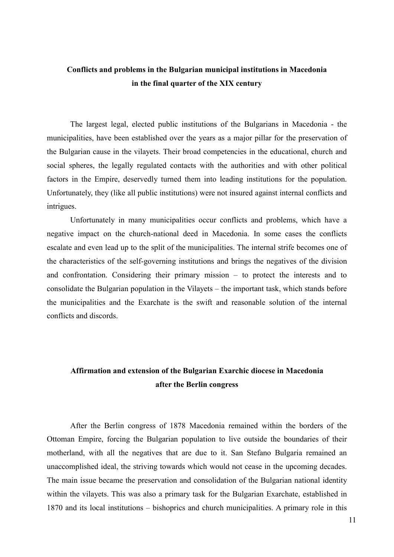## **Conflicts and problems in the Bulgarian municipal institutions in Macedonia in the final quarter of the XIX century**

The largest legal, elected public institutions of the Bulgarians in Macedonia - the municipalities, have been established over the years as a major pillar for the preservation of the Bulgarian cause in the vilayets. Their broad competencies in the educational, church and social spheres, the legally regulated contacts with the authorities and with other political factors in the Empire, deservedly turned them into leading institutions for the population. Unfortunately, they (like all public institutions) were not insured against internal conflicts and intrigues.

Unfortunately in many municipalities occur conflicts and problems, which have a negative impact on the church-national deed in Macedonia. In some cases the conflicts escalate and even lead up to the split of the municipalities. The internal strife becomes one of the characteristics of the self-governing institutions and brings the negatives of the division and confrontation. Considering their primary mission – to protect the interests and to consolidate the Bulgarian population in the Vilayets – the important task, which stands before the municipalities and the Exarchate is the swift and reasonable solution of the internal conflicts and discords.

## **Affirmation and extension of the Bulgarian Exarchic diocese in Macedonia after the Berlin congress**

After the Berlin congress of 1878 Macedonia remained within the borders of the Ottoman Empire, forcing the Bulgarian population to live outside the boundaries of their motherland, with all the negatives that are due to it. San Stefano Bulgaria remained an unaccomplished ideal, the striving towards which would not cease in the upcoming decades. The main issue became the preservation and consolidation of the Bulgarian national identity within the vilayets. This was also a primary task for the Bulgarian Exarchate, established in 1870 and its local institutions – bishoprics and church municipalities. A primary role in this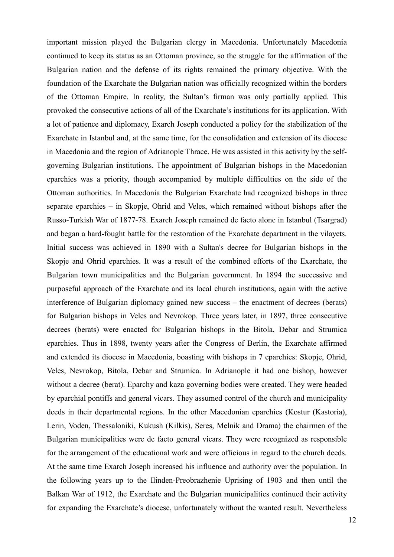important mission played the Bulgarian clergy in Macedonia. Unfortunately Macedonia continued to keep its status as an Ottoman province, so the struggle for the affirmation of the Bulgarian nation and the defense of its rights remained the primary objective. With the foundation of the Exarchate the Bulgarian nation was officially recognized within the borders of the Ottoman Empire. In reality, the Sultan's firman was only partially applied. This provoked the consecutive actions of all of the Exarchate's institutions for its application. With a lot of patience and diplomacy, Exarch Joseph conducted a policy for the stabilization of the Exarchate in Istanbul and, at the same time, for the consolidation and extension of its diocese in Macedonia and the region of Adrianople Thrace. He was assisted in this activity by the selfgoverning Bulgarian institutions. The appointment of Bulgarian bishops in the Macedonian eparchies was a priority, though accompanied by multiple difficulties on the side of the Ottoman authorities. In Macedonia the Bulgarian Exarchate had recognized bishops in three separate eparchies – in Skopje, Ohrid and Veles, which remained without bishops after the Russo-Turkish War of 1877-78. Exarch Joseph remained de facto alone in Istanbul (Tsargrad) and began a hard-fought battle for the restoration of the Exarchate department in the vilayets. Initial success was achieved in 1890 with a Sultan's decree for Bulgarian bishops in the Skopje and Ohrid eparchies. It was a result of the combined efforts of the Exarchate, the Bulgarian town municipalities and the Bulgarian government. In 1894 the successive and purposeful approach of the Exarchate and its local church institutions, again with the active interference of Bulgarian diplomacy gained new success – the enactment of decrees (berats) for Bulgarian bishops in Veles and Nevrokop. Three years later, in 1897, three consecutive decrees (berats) were enacted for Bulgarian bishops in the Bitola, Debar and Strumica eparchies. Thus in 1898, twenty years after the Congress of Berlin, the Exarchate affirmed and extended its diocese in Macedonia, boasting with bishops in 7 eparchies: Skopje, Ohrid, Veles, Nevrokop, Bitola, Debar and Strumica. In Adrianople it had one bishop, however without a decree (berat). Eparchy and kaza governing bodies were created. They were headed by eparchial pontiffs and general vicars. They assumed control of the church and municipality deeds in their departmental regions. In the other Macedonian eparchies (Kostur (Kastoria), Lerin, Voden, Thessaloniki, Kukush (Kilkis), Seres, Melnik and Drama) the chairmen of the Bulgarian municipalities were de facto general vicars. They were recognized as responsible for the arrangement of the educational work and were officious in regard to the church deeds. At the same time Exarch Joseph increased his influence and authority over the population. In the following years up to the Ilinden-Preobrazhenie Uprising of 1903 and then until the Balkan War of 1912, the Exarchate and the Bulgarian municipalities continued their activity for expanding the Exarchate's diocese, unfortunately without the wanted result. Nevertheless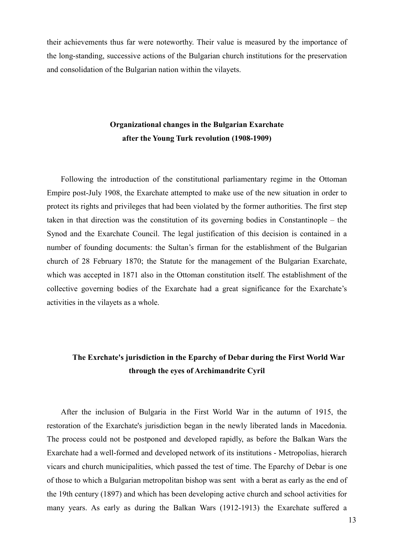their achievements thus far were noteworthy. Their value is measured by the importance of the long-standing, successive actions of the Bulgarian church institutions for the preservation and consolidation of the Bulgarian nation within the vilayets.

## **Organizational changes in the Bulgarian Exarchate after the Young Turk revolution (1908-1909)**

Following the introduction of the constitutional parliamentary regime in the Ottoman Empire post-July 1908, the Exarchate attempted to make use of the new situation in order to protect its rights and privileges that had been violated by the former authorities. The first step taken in that direction was the constitution of its governing bodies in Constantinople – the Synod and the Exarchate Council. The legal justification of this decision is contained in a number of founding documents: the Sultan's firman for the establishment of the Bulgarian church of 28 February 1870; the Statute for the management of the Bulgarian Exarchate, which was accepted in 1871 also in the Ottoman constitution itself. The establishment of the collective governing bodies of the Exarchate had a great significance for the Exarchate's activities in the vilayets as a whole.

#### **The Exrchate's jurisdiction in the Eparchy of Debar during the First World War through the eyes of Archimandrite Cyril**

After the inclusion of Bulgaria in the First World War in the autumn of 1915, the restoration of the Exarchate's jurisdiction began in the newly liberated lands in Macedonia. The process could not be postponed and developed rapidly, as before the Balkan Wars the Exarchate had a well-formed and developed network of its institutions - Metropolias, hierarch vicars and church municipalities, which passed the test of time. The Eparchy of Debar is one of those to which a Bulgarian metropolitan bishop was sent with a berat as early as the end of the 19th century (1897) and which has been developing active church and school activities for many years. As early as during the Balkan Wars (1912-1913) the Exarchate suffered a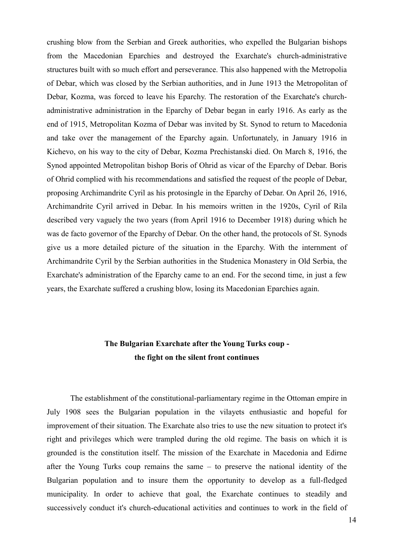crushing blow from the Serbian and Greek authorities, who expelled the Bulgarian bishops from the Macedonian Eparchies and destroyed the Exarchate's church-administrative structures built with so much effort and perseverance. This also happened with the Metropolia of Debar, which was closed by the Serbian authorities, and in June 1913 the Metropolitan of Debar, Kozma, was forced to leave his Eparchy. The restoration of the Exarchate's churchadministrative administration in the Eparchy of Debar began in early 1916. As early as the end of 1915, Metropolitan Kozma of Debar was invited by St. Synod to return to Macedonia and take over the management of the Eparchy again. Unfortunately, in January 1916 in Kichevo, on his way to the city of Debar, Kozma Prechistanski died. On March 8, 1916, the Synod appointed Metropolitan bishop Boris of Ohrid as vicar of the Eparchy of Debar. Boris of Ohrid complied with his recommendations and satisfied the request of the people of Debar, proposing Archimandrite Cyril as his protosingle in the Eparchy of Debar. On April 26, 1916, Archimandrite Cyril arrived in Debar. In his memoirs written in the 1920s, Cyril of Rila described very vaguely the two years (from April 1916 to December 1918) during which he was de facto governor of the Eparchy of Debar. On the other hand, the protocols of St. Synods give us a more detailed picture of the situation in the Eparchy. With the internment of Archimandrite Cyril by the Serbian authorities in the Studenica Monastery in Old Serbia, the Exarchate's administration of the Eparchy came to an end. For the second time, in just a few years, the Exarchate suffered a crushing blow, losing its Macedonian Eparchies again.

## **The Bulgarian Exarchate after the Young Turks coup the fight on the silent front continues**

The establishment of the constitutional-parliamentary regime in the Ottoman empire in July 1908 sees the Bulgarian population in the vilayets enthusiastic and hopeful for improvement of their situation. The Exarchate also tries to use the new situation to protect it's right and privileges which were trampled during the old regime. The basis on which it is grounded is the constitution itself. The mission of the Exarchate in Macedonia and Edirne after the Young Turks coup remains the same – to preserve the national identity of the Bulgarian population and to insure them the opportunity to develop as a full-fledged municipality. In order to achieve that goal, the Exarchate continues to steadily and successively conduct it's church-educational activities and continues to work in the field of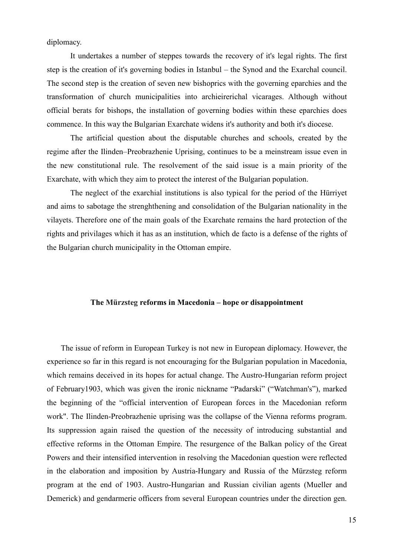diplomacy.

It undertakes a number of steppes towards the recovery of it's legal rights. The first step is the creation of it's governing bodies in Istanbul – the Synod and the Exarchal council. The second step is the creation of seven new bishoprics with the governing eparchies and the transformation of church municipalities into archieirerichal vicarages. Although without official berats for bishops, the installation of governing bodies within these eparchies does commence. In this way the Bulgarian Exarchate widens it's authority and both it's diocese.

The artificial question about the disputable churches and schools, created by the regime after the Ilinden–Preobrazhenie Uprising, continues to be a meinstream issue even in the new constitutional rule. The resolvement of the said issue is a main priority of the Exarchate, with which they aim to protect the interest of the Bulgarian population.

The neglect of the exarchial institutions is also typical for the period of the Hürriyet and aims to sabotage the strenghthening and consolidation of the Bulgarian nationality in the vilayets. Therefore one of the main goals of the Exarchate remains the hard protection of the rights and privilages which it has as an institution, which de facto is a defense of the rights of the Bulgarian church municipality in the Ottoman empire.

#### **The Mürzsteg reforms in Macedonia – hope or disappointment**

The issue of reform in European Turkey is not new in European diplomacy. However, the experience so far in this regard is not encouraging for the Bulgarian population in Macedonia, which remains deceived in its hopes for actual change. The Austro-Hungarian reform project of February1903, which was given the ironic nickname "Padarski" ("Watchman's"), marked the beginning of the "official intervention of European forces in the Macedonian reform work". The Ilinden-Preobrazhenie uprising was the collapse of the Vienna reforms program. Its suppression again raised the question of the necessity of introducing substantial and effective reforms in the Ottoman Empire. The resurgence of the Balkan policy of the Great Powers and their intensified intervention in resolving the Macedonian question were reflected in the elaboration and imposition by Austria-Hungary and Russia of the Mürzsteg reform program at the end of 1903. Austro-Hungarian and Russian civilian agents (Mueller and Demerick) and gendarmerie officers from several European countries under the direction gen.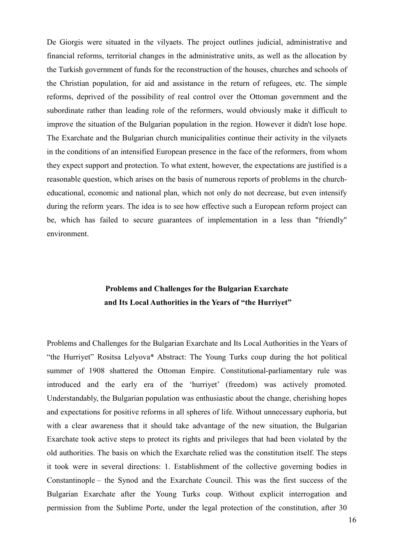De Giorgis were situated in the vilyaets. The project outlines judicial, administrative and financial reforms, territorial changes in the administrative units, as well as the allocation by the Turkish government of funds for the reconstruction of the houses, churches and schools of the Christian population, for aid and assistance in the return of refugees, etc. The simple reforms, deprived of the possibility of real control over the Ottoman government and the subordinate rather than leading role of the reformers, would obviously make it difficult to improve the situation of the Bulgarian population in the region. However it didn't lose hope. The Exarchate and the Bulgarian church municipalities continue their activity in the vilyaets in the conditions of an intensified European presence in the face of the reformers, from whom they expect support and protection. To what extent, however, the expectations are justified is a reasonable question, which arises on the basis of numerous reports of problems in the churcheducational, economic and national plan, which not only do not decrease, but even intensify during the reform years. The idea is to see how effective such a European reform project can be, which has failed to secure guarantees of implementation in a less than "friendly" environment.

## **Problems and Challenges for the Bulgarian Exarchate and Its Local Authorities in the Years of "the Hurriyet"**

Problems and Challenges for the Bulgarian Exarchate and Its Local Authorities in the Years of "the Hurriyet" Rositsa Lelyova\* Abstract: The Young Turks coup during the hot political summer of 1908 shattered the Ottoman Empire. Constitutional-parliamentary rule was introduced and the early era of the 'hurriyet' (freedom) was actively promoted. Understandably, the Bulgarian population was enthusiastic about the change, cherishing hopes and expectations for positive reforms in all spheres of life. Without unnecessary euphoria, but with a clear awareness that it should take advantage of the new situation, the Bulgarian Exarchate took active steps to protect its rights and privileges that had been violated by the old authorities. The basis on which the Exarchate relied was the constitution itself. The steps it took were in several directions: 1. Establishment of the collective governing bodies in Constantinople – the Synod and the Exarchate Council. This was the first success of the Bulgarian Exarchate after the Young Turks coup. Without explicit interrogation and permission from the Sublime Porte, under the legal protection of the constitution, after 30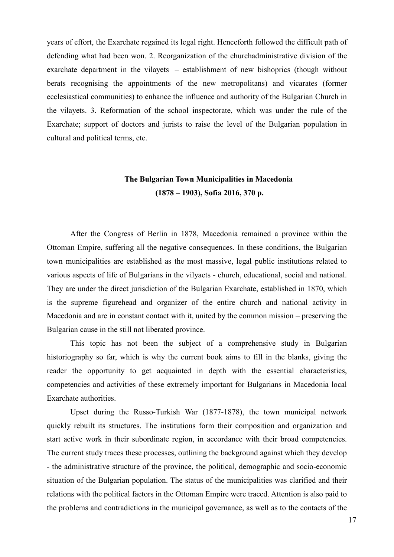years of effort, the Exarchate regained its legal right. Henceforth followed the difficult path of defending what had been won. 2. Reorganization of the churchadministrative division of the exarchate department in the vilayets – establishment of new bishoprics (though without berats recognising the appointments of the new metropolitans) and vicarates (former ecclesiastical communities) to enhance the influence and authority of the Bulgarian Church in the vilayets. 3. Reformation of the school inspectorate, which was under the rule of the Exarchate; support of doctors and jurists to raise the level of the Bulgarian population in cultural and political terms, etc.

## **The Bulgarian Town Municipalities in Macedonia (1878 – 1903), Sofia 2016, 370 p.**

After the Congress of Berlin in 1878, Macedonia remained a province within the Ottoman Empire, suffering all the negative consequences. In these conditions, the Bulgarian town municipalities are established as the most massive, legal public institutions related to various aspects of life of Bulgarians in the vilyaets - church, educational, social and national. They are under the direct jurisdiction of the Bulgarian Exarchate, established in 1870, which is the supreme figurehead and organizer of the entire church and national activity in Macedonia and are in constant contact with it, united by the common mission – preserving the Bulgarian cause in the still not liberated province.

This topic has not been the subject of a comprehensive study in Bulgarian historiography so far, which is why the current book aims to fill in the blanks, giving the reader the opportunity to get acquainted in depth with the essential characteristics, competencies and activities of these extremely important for Bulgarians in Macedonia local Exarchate authorities.

Upset during the Russo-Turkish War (1877-1878), the town municipal network quickly rebuilt its structures. The institutions form their composition and organization and start active work in their subordinate region, in accordance with their broad competencies. The current study traces these processes, outlining the background against which they develop - the administrative structure of the province, the political, demographic and socio-economic situation of the Bulgarian population. The status of the municipalities was clarified and their relations with the political factors in the Ottoman Empire were traced. Attention is also paid to the problems and contradictions in the municipal governance, as well as to the contacts of the